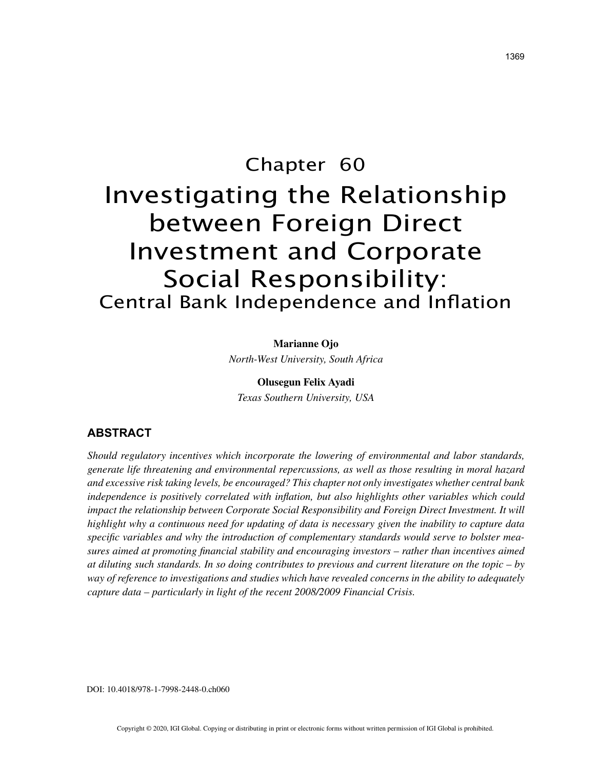# Chapter 60 Investigating the Relationship between Foreign Direct Investment and Corporate Social Responsibility: Central Bank Independence and Inflation

#### **Marianne Ojo**

*North-West University, South Africa*

#### **Olusegun Felix Ayadi**

*Texas Southern University, USA*

#### **ABSTRACT**

*Should regulatory incentives which incorporate the lowering of environmental and labor standards, generate life threatening and environmental repercussions, as well as those resulting in moral hazard and excessive risk taking levels, be encouraged? This chapter not only investigates whether central bank independence is positively correlated with inflation, but also highlights other variables which could impact the relationship between Corporate Social Responsibility and Foreign Direct Investment. It will highlight why a continuous need for updating of data is necessary given the inability to capture data specific variables and why the introduction of complementary standards would serve to bolster measures aimed at promoting financial stability and encouraging investors – rather than incentives aimed at diluting such standards. In so doing contributes to previous and current literature on the topic – by way of reference to investigations and studies which have revealed concerns in the ability to adequately capture data – particularly in light of the recent 2008/2009 Financial Crisis.*

DOI: 10.4018/978-1-7998-2448-0.ch060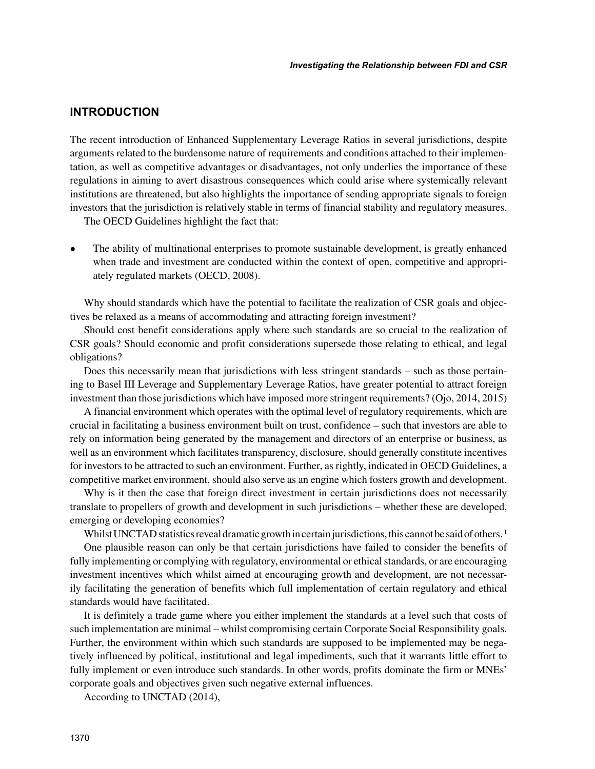## **INTRODUCTION**

The recent introduction of Enhanced Supplementary Leverage Ratios in several jurisdictions, despite arguments related to the burdensome nature of requirements and conditions attached to their implementation, as well as competitive advantages or disadvantages, not only underlies the importance of these regulations in aiming to avert disastrous consequences which could arise where systemically relevant institutions are threatened, but also highlights the importance of sending appropriate signals to foreign investors that the jurisdiction is relatively stable in terms of financial stability and regulatory measures.

The OECD Guidelines highlight the fact that:

• The ability of multinational enterprises to promote sustainable development, is greatly enhanced when trade and investment are conducted within the context of open, competitive and appropriately regulated markets (OECD, 2008).

Why should standards which have the potential to facilitate the realization of CSR goals and objectives be relaxed as a means of accommodating and attracting foreign investment?

Should cost benefit considerations apply where such standards are so crucial to the realization of CSR goals? Should economic and profit considerations supersede those relating to ethical, and legal obligations?

Does this necessarily mean that jurisdictions with less stringent standards – such as those pertaining to Basel III Leverage and Supplementary Leverage Ratios, have greater potential to attract foreign investment than those jurisdictions which have imposed more stringent requirements? (Ojo, 2014, 2015)

A financial environment which operates with the optimal level of regulatory requirements, which are crucial in facilitating a business environment built on trust, confidence – such that investors are able to rely on information being generated by the management and directors of an enterprise or business, as well as an environment which facilitates transparency, disclosure, should generally constitute incentives for investors to be attracted to such an environment. Further, as rightly, indicated in OECD Guidelines, a competitive market environment, should also serve as an engine which fosters growth and development.

Why is it then the case that foreign direct investment in certain jurisdictions does not necessarily translate to propellers of growth and development in such jurisdictions – whether these are developed, emerging or developing economies?

Whilst UNCTAD statistics reveal dramatic growth in certain jurisdictions, this cannot be said of others.<sup>1</sup>

One plausible reason can only be that certain jurisdictions have failed to consider the benefits of fully implementing or complying with regulatory, environmental or ethical standards, or are encouraging investment incentives which whilst aimed at encouraging growth and development, are not necessarily facilitating the generation of benefits which full implementation of certain regulatory and ethical standards would have facilitated.

It is definitely a trade game where you either implement the standards at a level such that costs of such implementation are minimal – whilst compromising certain Corporate Social Responsibility goals. Further, the environment within which such standards are supposed to be implemented may be negatively influenced by political, institutional and legal impediments, such that it warrants little effort to fully implement or even introduce such standards. In other words, profits dominate the firm or MNEs' corporate goals and objectives given such negative external influences.

According to UNCTAD (2014),